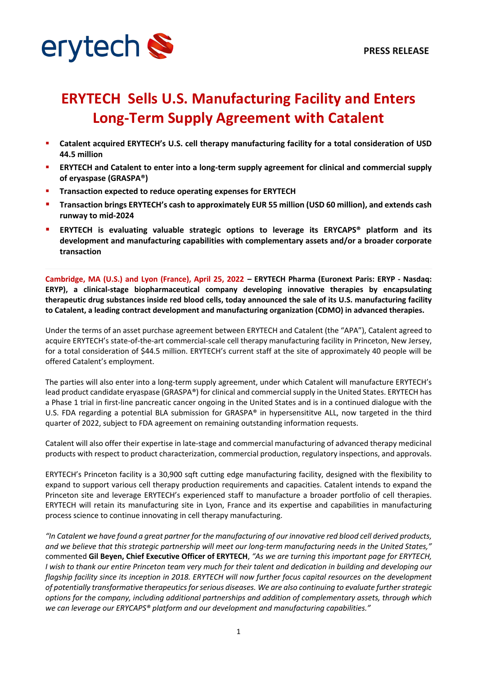



# **ERYTECH Sells U.S. Manufacturing Facility and Enters Long-Term Supply Agreement with Catalent**

- § **Catalent acquired ERYTECH's U.S. cell therapy manufacturing facility for a total consideration of USD 44.5 million**
- § **ERYTECH and Catalent to enter into a long-term supply agreement for clinical and commercial supply of eryaspase (GRASPA®)**
- § **Transaction expected to reduce operating expenses for ERYTECH**
- § **Transaction brings ERYTECH's cash to approximately EUR 55 million (USD 60 million), and extends cash runway to mid-2024**
- § **ERYTECH is evaluating valuable strategic options to leverage its ERYCAPS® platform and its development and manufacturing capabilities with complementary assets and/or a broader corporate transaction**

**Cambridge, MA (U.S.) and Lyon (France), April 25, 2022 – ERYTECH Pharma (Euronext Paris: ERYP - Nasdaq: ERYP), a clinical-stage biopharmaceutical company developing innovative therapies by encapsulating therapeutic drug substances inside red blood cells, today announced the sale of its U.S. manufacturing facility to Catalent, a leading contract development and manufacturing organization (CDMO) in advanced therapies.**

Under the terms of an asset purchase agreement between ERYTECH and Catalent (the "APA"), Catalent agreed to acquire ERYTECH's state-of-the-art commercial-scale cell therapy manufacturing facility in Princeton, New Jersey, for a total consideration of \$44.5 million. ERYTECH's current staff at the site of approximately 40 people will be offered Catalent's employment.

The parties will also enter into a long-term supply agreement, under which Catalent will manufacture ERYTECH's lead product candidate eryaspase (GRASPA®) for clinical and commercial supply in the United States. ERYTECH has a Phase 1 trial in first-line pancreatic cancer ongoing in the United States and is in a continued dialogue with the U.S. FDA regarding a potential BLA submission for GRASPA® in hypersensititve ALL, now targeted in the third quarter of 2022, subject to FDA agreement on remaining outstanding information requests.

Catalent will also offer their expertise in late-stage and commercial manufacturing of advanced therapy medicinal products with respect to product characterization, commercial production, regulatory inspections, and approvals.

ERYTECH's Princeton facility is a 30,900 sqft cutting edge manufacturing facility, designed with the flexibility to expand to support various cell therapy production requirements and capacities. Catalent intends to expand the Princeton site and leverage ERYTECH's experienced staff to manufacture a broader portfolio of cell therapies. ERYTECH will retain its manufacturing site in Lyon, France and its expertise and capabilities in manufacturing process science to continue innovating in cell therapy manufacturing.

*"In Catalent we have found a great partner for the manufacturing of our innovative red blood cell derived products, and we believe that this strategic partnership will meet our long-term manufacturing needs in the United States,"*  commented **Gil Beyen, Chief Executive Officer of ERYTECH**, *"As we are turning this important page for ERYTECH, I wish to thank our entire Princeton team very much for their talent and dedication in building and developing our flagship facility since its inception in 2018. ERYTECH will now further focus capital resources on the development of potentially transformative therapeutics for serious diseases. We are also continuing to evaluate further strategic options for the company, including additional partnerships and addition of complementary assets, through which we can leverage our ERYCAPS® platform and our development and manufacturing capabilities."*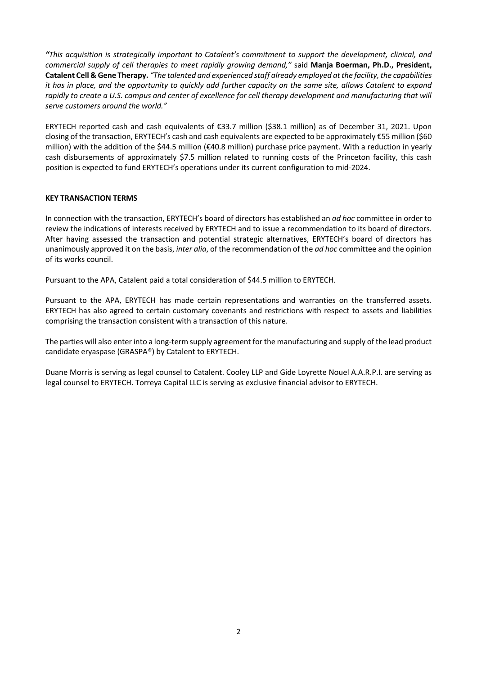*"This acquisition is strategically important to Catalent's commitment to support the development, clinical, and commercial supply of cell therapies to meet rapidly growing demand,"* said **Manja Boerman, Ph.D., President, Catalent Cell & Gene Therapy.** *"The talented and experienced staff already employed at the facility, the capabilities it has in place, and the opportunity to quickly add further capacity on the same site, allows Catalent to expand rapidly to create a U.S. campus and center of excellence for cell therapy development and manufacturing that will serve customers around the world."*

ERYTECH reported cash and cash equivalents of €33.7 million (\$38.1 million) as of December 31, 2021. Upon closing of the transaction, ERYTECH's cash and cash equivalents are expected to be approximately €55 million (\$60 million) with the addition of the \$44.5 million (€40.8 million) purchase price payment. With a reduction in yearly cash disbursements of approximately \$7.5 million related to running costs of the Princeton facility, this cash position is expected to fund ERYTECH's operations under its current configuration to mid-2024.

## **KEY TRANSACTION TERMS**

In connection with the transaction, ERYTECH's board of directors has established an *ad hoc* committee in order to review the indications of interests received by ERYTECH and to issue a recommendation to its board of directors. After having assessed the transaction and potential strategic alternatives, ERYTECH's board of directors has unanimously approved it on the basis, *inter alia*, of the recommendation of the *ad hoc* committee and the opinion of its works council.

Pursuant to the APA, Catalent paid a total consideration of \$44.5 million to ERYTECH.

Pursuant to the APA, ERYTECH has made certain representations and warranties on the transferred assets. ERYTECH has also agreed to certain customary covenants and restrictions with respect to assets and liabilities comprising the transaction consistent with a transaction of this nature.

The parties will also enter into a long-term supply agreement for the manufacturing and supply of the lead product candidate eryaspase (GRASPA®) by Catalent to ERYTECH.

Duane Morris is serving as legal counsel to Catalent. Cooley LLP and Gide Loyrette Nouel A.A.R.P.I. are serving as legal counsel to ERYTECH. Torreya Capital LLC is serving as exclusive financial advisor to ERYTECH.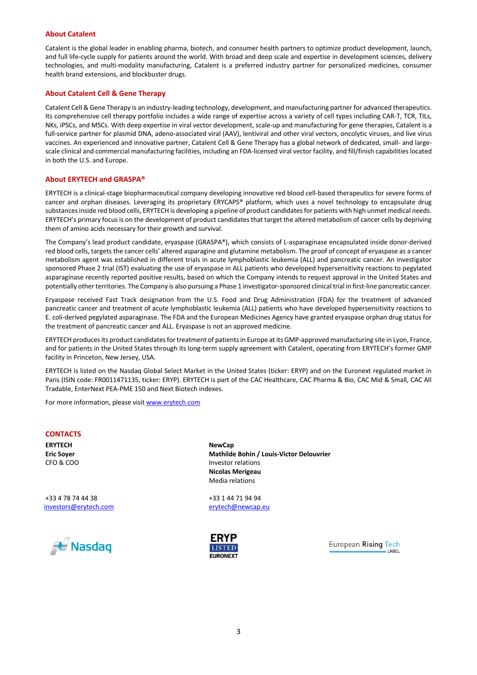### **About Catalent**

Catalent is the global leader in enabling pharma, biotech, and consumer health partners to optimize product development, launch, and full life-cycle supply for patients around the world. With broad and deep scale and expertise in development sciences, delivery technologies, and multi-modality manufacturing, Catalent is a preferred industry partner for personalized medicines, consumer health brand extensions, and blockbuster drugs.

### **About Catalent Cell & Gene Therapy**

Catalent Cell & Gene Therapy is an industry-leading technology, development, and manufacturing partner for advanced therapeutics. Its comprehensive cell therapy portfolio includes a wide range of expertise across a variety of cell types including CAR-T, TCR, TILs, NKs, iPSCs, and MSCs. With deep expertise in viral vector development, scale-up and manufacturing for gene therapies, Catalent is a full-service partner for plasmid DNA, adeno-associated viral (AAV), lentiviral and other viral vectors, oncolytic viruses, and live virus vaccines. An experienced and innovative partner, Catalent Cell & Gene Therapy has a global network of dedicated, small- and largescale clinical and commercial manufacturing facilities, including an FDA-licensed viral vector facility, and fill/finish capabilities located in both the U.S. and Europe.

#### **About ERYTECH and GRASPA®**

ERYTECH is a clinical-stage biopharmaceutical company developing innovative red blood cell-based therapeutics for severe forms of cancer and orphan diseases. Leveraging its proprietary ERYCAPS® platform, which uses a novel technology to encapsulate drug substances inside red blood cells, ERYTECH is developing a pipeline of product candidates for patients with high unmet medical needs. ERYTECH's primary focus is on the development of product candidates that target the altered metabolism of cancer cells by depriving them of amino acids necessary for their growth and survival.

The Company's lead product candidate, eryaspase (GRASPA®), which consists of L-asparaginase encapsulated inside donor-derived red blood cells, targets the cancer cells' altered asparagine and glutamine metabolism. The proof of concept of eryaspase as a cancer metabolism agent was established in different trials in acute lymphoblastic leukemia (ALL) and pancreatic cancer. An investigator sponsored Phase 2 trial (IST) evaluating the use of eryaspase in ALL patients who developed hypersensitivity reactions to pegylated asparaginase recently reported positive results, based on which the Company intends to request approval in the United States and potentially other territories. The Company is also pursuing a Phase 1 investigator-sponsored clinical trial in first-line pancreatic cancer.

Eryaspase received Fast Track designation from the U.S. Food and Drug Administration (FDA) for the treatment of advanced pancreatic cancer and treatment of acute lymphoblastic leukemia (ALL) patients who have developed hypersensitivity reactions to E. coli-derived pegylated asparaginase. The FDA and the European Medicines Agency have granted eryaspase orphan drug status for the treatment of pancreatic cancer and ALL. Eryaspase is not an approved medicine.

ERYTECH produces its product candidates for treatment of patients in Europe at its GMP-approved manufacturing site in Lyon, France, and for patients in the United States through its long-term supply agreement with Catalent, operating from ERYTECH's former GMP facility in Princeton, New Jersey, USA.

ERYTECH is listed on the Nasdaq Global Select Market in the United States (ticker: ERYP) and on the Euronext regulated market in Paris (ISIN code: FR0011471135, ticker: ERYP). ERYTECH is part of the CAC Healthcare, CAC Pharma & Bio, CAC Mid & Small, CAC All Tradable, EnterNext PEA-PME 150 and Next Biotech indexes.

For more information, please visit www.erytech.com

## **CONTACTS**

**ERYTECH Eric Soyer** CFO & COO

+33 4 78 74 44 38 investors@erytech.com



**NewCap Mathilde Bohin / Louis-Victor Delouvrier** Investor relations **Nicolas Merigeau** Media relations

+33 1 44 71 94 94 erytech@newcap.eu



European Rising Tech **LAREL**